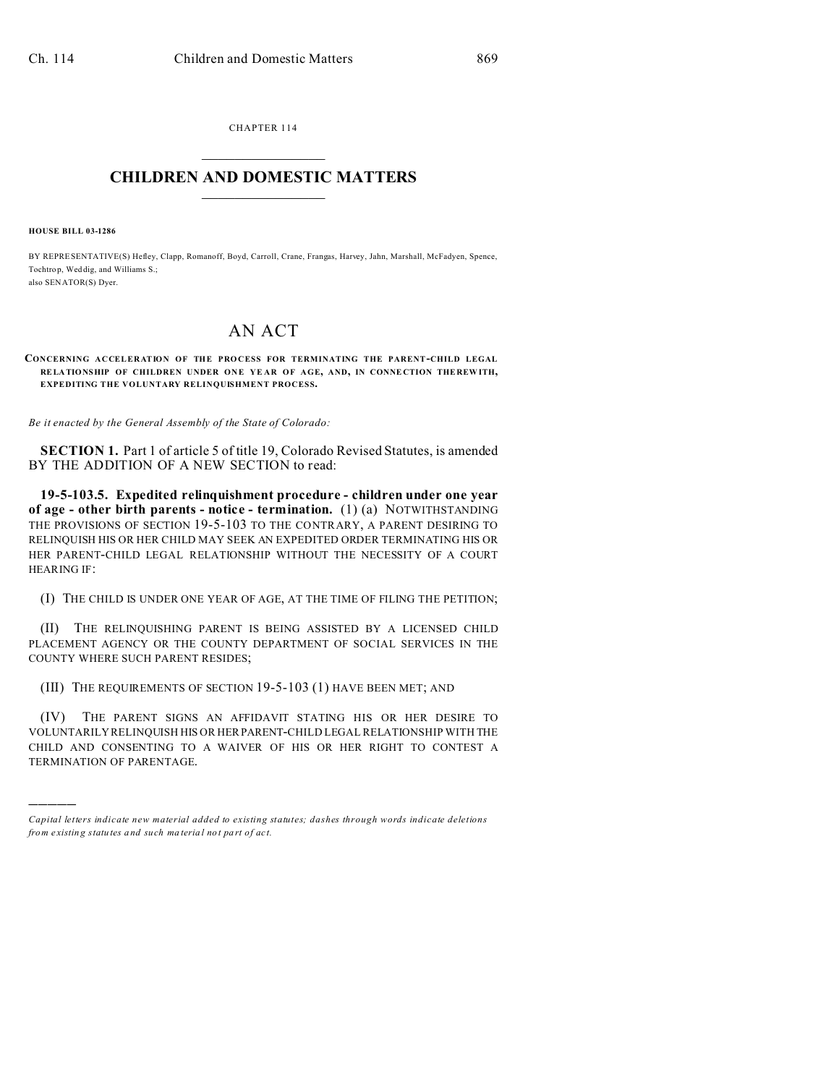CHAPTER 114  $\overline{\phantom{a}}$  , where  $\overline{\phantom{a}}$ 

## **CHILDREN AND DOMESTIC MATTERS**  $\_$

**HOUSE BILL 03-1286**

)))))

BY REPRESENTATIVE(S) Hefley, Clapp, Romanoff, Boyd, Carroll, Crane, Frangas, Harvey, Jahn, Marshall, McFadyen, Spence, Tochtro p, Weddig, and Williams S.; also SENATOR(S) Dyer.

## AN ACT

**CONCERNING ACCELERATION OF THE PRO CESS FOR TERMINATING THE PARENT-CHILD LEGAL RELA TIONSHIP OF CHILDREN UNDER ONE YE AR OF AGE, AND, IN CONNE CTION THE REW ITH, EXPEDITING THE VOLUNTARY RELINQUISHMENT PROCESS.**

*Be it enacted by the General Assembly of the State of Colorado:*

**SECTION 1.** Part 1 of article 5 of title 19, Colorado Revised Statutes, is amended BY THE ADDITION OF A NEW SECTION to read:

**19-5-103.5. Expedited relinquishment procedure - children under one year of age - other birth parents - notice - termination.** (1) (a) NOTWITHSTANDING THE PROVISIONS OF SECTION 19-5-103 TO THE CONTRARY, A PARENT DESIRING TO RELINQUISH HIS OR HER CHILD MAY SEEK AN EXPEDITED ORDER TERMINATING HIS OR HER PARENT-CHILD LEGAL RELATIONSHIP WITHOUT THE NECESSITY OF A COURT HEARING IF:

(I) THE CHILD IS UNDER ONE YEAR OF AGE, AT THE TIME OF FILING THE PETITION;

(II) THE RELINQUISHING PARENT IS BEING ASSISTED BY A LICENSED CHILD PLACEMENT AGENCY OR THE COUNTY DEPARTMENT OF SOCIAL SERVICES IN THE COUNTY WHERE SUCH PARENT RESIDES;

(III) THE REQUIREMENTS OF SECTION 19-5-103 (1) HAVE BEEN MET; AND

(IV) THE PARENT SIGNS AN AFFIDAVIT STATING HIS OR HER DESIRE TO VOLUNTARILY RELINQUISH HIS OR HERPARENT-CHILD LEGAL RELATIONSHIP WITH THE CHILD AND CONSENTING TO A WAIVER OF HIS OR HER RIGHT TO CONTEST A TERMINATION OF PARENTAGE.

*Capital letters indicate new material added to existing statutes; dashes through words indicate deletions from e xistin g statu tes a nd such ma teria l no t pa rt of ac t.*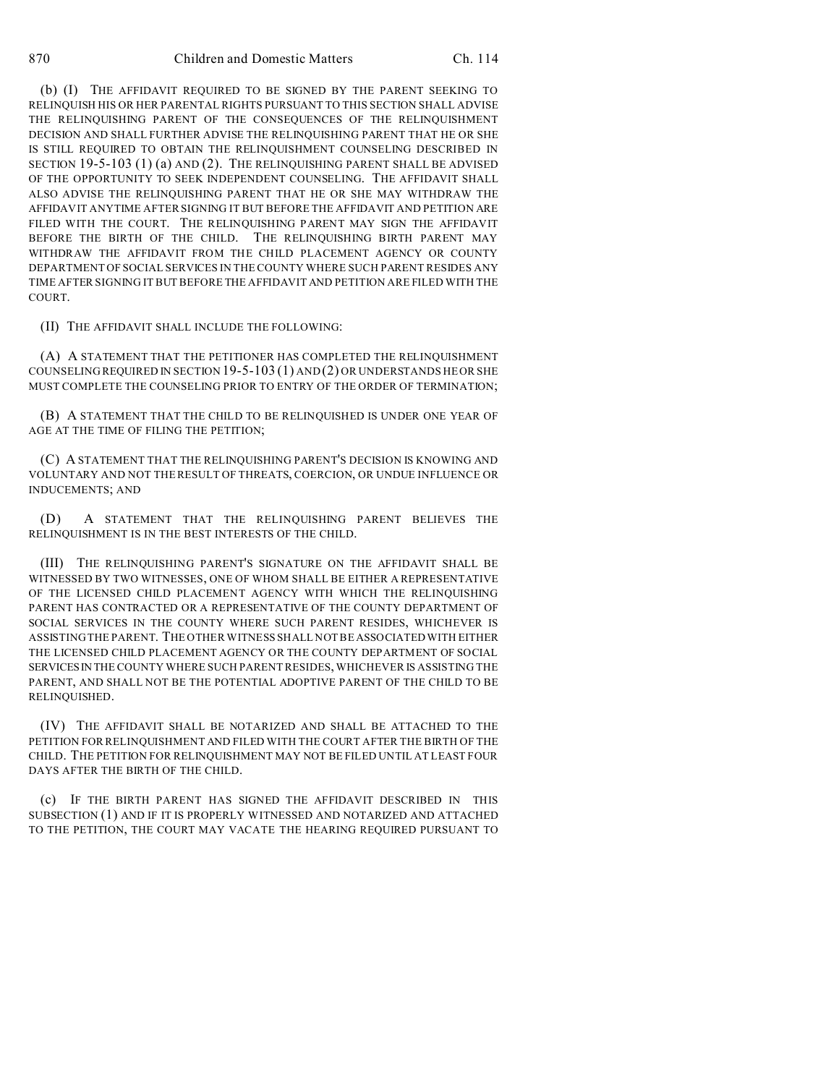(b) (I) THE AFFIDAVIT REQUIRED TO BE SIGNED BY THE PARENT SEEKING TO RELINQUISH HIS OR HER PARENTAL RIGHTS PURSUANT TO THIS SECTION SHALL ADVISE THE RELINQUISHING PARENT OF THE CONSEQUENCES OF THE RELINQUISHMENT DECISION AND SHALL FURTHER ADVISE THE RELINQUISHING PARENT THAT HE OR SHE IS STILL REQUIRED TO OBTAIN THE RELINQUISHMENT COUNSELING DESCRIBED IN SECTION 19-5-103 (1) (a) AND (2). THE RELINQUISHING PARENT SHALL BE ADVISED OF THE OPPORTUNITY TO SEEK INDEPENDENT COUNSELING. THE AFFIDAVIT SHALL ALSO ADVISE THE RELINQUISHING PARENT THAT HE OR SHE MAY WITHDRAW THE AFFIDAVIT ANYTIME AFTER SIGNING IT BUT BEFORE THE AFFIDAVIT AND PETITION ARE FILED WITH THE COURT. THE RELINQUISHING PARENT MAY SIGN THE AFFIDAVIT BEFORE THE BIRTH OF THE CHILD. THE RELINQUISHING BIRTH PARENT MAY WITHDRAW THE AFFIDAVIT FROM THE CHILD PLACEMENT AGENCY OR COUNTY DEPARTMENT OF SOCIAL SERVICES IN THE COUNTY WHERE SUCH PARENT RESIDES ANY TIME AFTER SIGNING IT BUT BEFORE THE AFFIDAVIT AND PETITION ARE FILED WITH THE COURT.

(II) THE AFFIDAVIT SHALL INCLUDE THE FOLLOWING:

(A) A STATEMENT THAT THE PETITIONER HAS COMPLETED THE RELINQUISHMENT COUNSELING REQUIRED IN SECTION 19-5-103 (1) AND (2) OR UNDERSTANDS HE OR SHE MUST COMPLETE THE COUNSELING PRIOR TO ENTRY OF THE ORDER OF TERMINATION;

(B) A STATEMENT THAT THE CHILD TO BE RELINQUISHED IS UNDER ONE YEAR OF AGE AT THE TIME OF FILING THE PETITION;

(C) A STATEMENT THAT THE RELINQUISHING PARENT'S DECISION IS KNOWING AND VOLUNTARY AND NOT THE RESULT OF THREATS, COERCION, OR UNDUE INFLUENCE OR INDUCEMENTS; AND

(D) A STATEMENT THAT THE RELINQUISHING PARENT BELIEVES THE RELINQUISHMENT IS IN THE BEST INTERESTS OF THE CHILD.

(III) THE RELINQUISHING PARENT'S SIGNATURE ON THE AFFIDAVIT SHALL BE WITNESSED BY TWO WITNESSES, ONE OF WHOM SHALL BE EITHER A REPRESENTATIVE OF THE LICENSED CHILD PLACEMENT AGENCY WITH WHICH THE RELINQUISHING PARENT HAS CONTRACTED OR A REPRESENTATIVE OF THE COUNTY DEPARTMENT OF SOCIAL SERVICES IN THE COUNTY WHERE SUCH PARENT RESIDES, WHICHEVER IS ASSISTING THE PARENT. THE OTHER WITNESS SHALL NOT BE ASSOCIATEDWITH EITHER THE LICENSED CHILD PLACEMENT AGENCY OR THE COUNTY DEPARTMENT OF SOCIAL SERVICESIN THE COUNTY WHERE SUCH PARENT RESIDES, WHICHEVER IS ASSISTING THE PARENT, AND SHALL NOT BE THE POTENTIAL ADOPTIVE PARENT OF THE CHILD TO BE RELINQUISHED.

(IV) THE AFFIDAVIT SHALL BE NOTARIZED AND SHALL BE ATTACHED TO THE PETITION FOR RELINQUISHMENT AND FILED WITH THE COURT AFTER THE BIRTH OF THE CHILD. THE PETITION FOR RELINQUISHMENT MAY NOT BE FILED UNTIL AT LEAST FOUR DAYS AFTER THE BIRTH OF THE CHILD.

(c) IF THE BIRTH PARENT HAS SIGNED THE AFFIDAVIT DESCRIBED IN THIS SUBSECTION (1) AND IF IT IS PROPERLY WITNESSED AND NOTARIZED AND ATTACHED TO THE PETITION, THE COURT MAY VACATE THE HEARING REQUIRED PURSUANT TO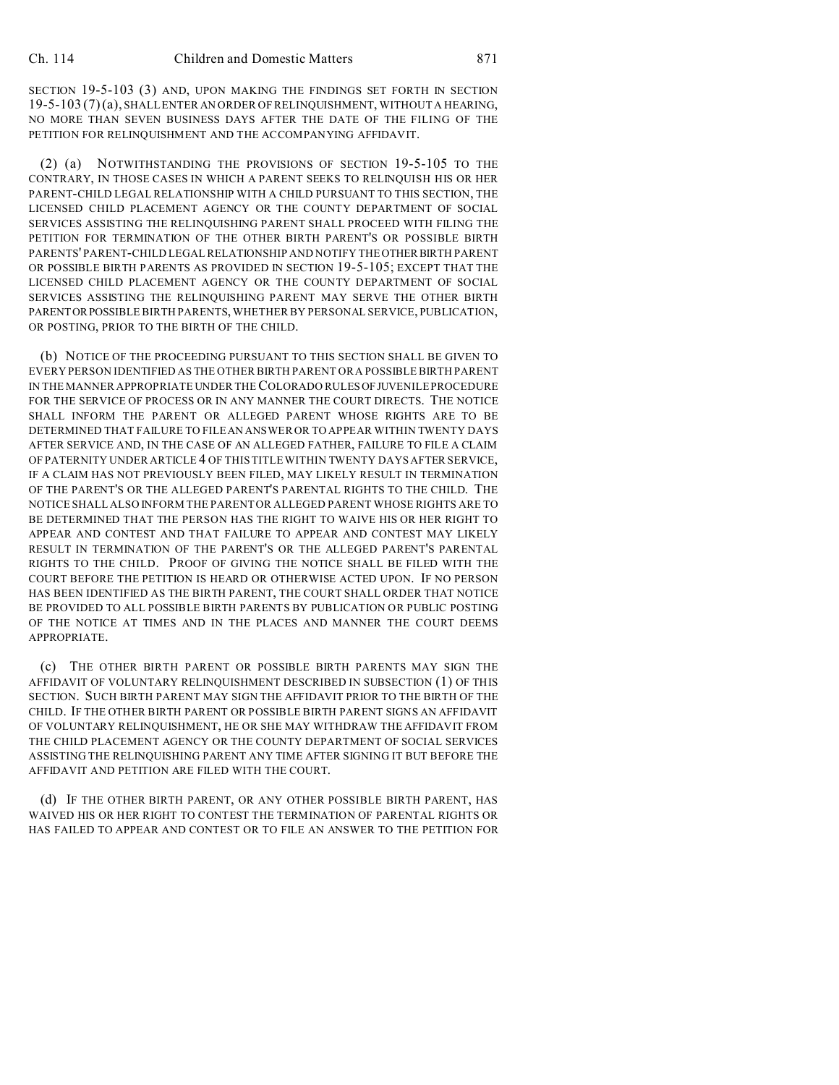SECTION 19-5-103 (3) AND, UPON MAKING THE FINDINGS SET FORTH IN SECTION 19-5-103 (7)(a), SHALL ENTER AN ORDER OF RELINQUISHMENT, WITHOUT A HEARING, NO MORE THAN SEVEN BUSINESS DAYS AFTER THE DATE OF THE FILING OF THE PETITION FOR RELINQUISHMENT AND THE ACCOMPANYING AFFIDAVIT.

(2) (a) NOTWITHSTANDING THE PROVISIONS OF SECTION 19-5-105 TO THE CONTRARY, IN THOSE CASES IN WHICH A PARENT SEEKS TO RELINQUISH HIS OR HER PARENT-CHILD LEGAL RELATIONSHIP WITH A CHILD PURSUANT TO THIS SECTION, THE LICENSED CHILD PLACEMENT AGENCY OR THE COUNTY DEPARTMENT OF SOCIAL SERVICES ASSISTING THE RELINQUISHING PARENT SHALL PROCEED WITH FILING THE PETITION FOR TERMINATION OF THE OTHER BIRTH PARENT'S OR POSSIBLE BIRTH PARENTS' PARENT-CHILD LEGAL RELATIONSHIP AND NOTIFY THE OTHER BIRTH PARENT OR POSSIBLE BIRTH PARENTS AS PROVIDED IN SECTION 19-5-105; EXCEPT THAT THE LICENSED CHILD PLACEMENT AGENCY OR THE COUNTY DEPARTMENT OF SOCIAL SERVICES ASSISTING THE RELINQUISHING PARENT MAY SERVE THE OTHER BIRTH PARENTORPOSSIBLE BIRTH PARENTS, WHETHER BY PERSONAL SERVICE, PUBLICATION, OR POSTING, PRIOR TO THE BIRTH OF THE CHILD.

(b) NOTICE OF THE PROCEEDING PURSUANT TO THIS SECTION SHALL BE GIVEN TO EVERY PERSON IDENTIFIED AS THE OTHER BIRTH PARENT OR A POSSIBLE BIRTH PARENT IN THE MANNER APPROPRIATE UNDER THE COLORADO RULES OF JUVENILE PROCEDURE FOR THE SERVICE OF PROCESS OR IN ANY MANNER THE COURT DIRECTS. THE NOTICE SHALL INFORM THE PARENT OR ALLEGED PARENT WHOSE RIGHTS ARE TO BE DETERMINED THAT FAILURE TO FILE AN ANSWER OR TO APPEAR WITHIN TWENTY DAYS AFTER SERVICE AND, IN THE CASE OF AN ALLEGED FATHER, FAILURE TO FILE A CLAIM OF PATERNITY UNDER ARTICLE 4 OF THIS TITLE WITHIN TWENTY DAYS AFTER SERVICE, IF A CLAIM HAS NOT PREVIOUSLY BEEN FILED, MAY LIKELY RESULT IN TERMINATION OF THE PARENT'S OR THE ALLEGED PARENT'S PARENTAL RIGHTS TO THE CHILD. THE NOTICE SHALL ALSO INFORM THE PARENT OR ALLEGED PARENT WHOSE RIGHTS ARE TO BE DETERMINED THAT THE PERSON HAS THE RIGHT TO WAIVE HIS OR HER RIGHT TO APPEAR AND CONTEST AND THAT FAILURE TO APPEAR AND CONTEST MAY LIKELY RESULT IN TERMINATION OF THE PARENT'S OR THE ALLEGED PARENT'S PARENTAL RIGHTS TO THE CHILD. PROOF OF GIVING THE NOTICE SHALL BE FILED WITH THE COURT BEFORE THE PETITION IS HEARD OR OTHERWISE ACTED UPON. IF NO PERSON HAS BEEN IDENTIFIED AS THE BIRTH PARENT, THE COURT SHALL ORDER THAT NOTICE BE PROVIDED TO ALL POSSIBLE BIRTH PARENTS BY PUBLICATION OR PUBLIC POSTING OF THE NOTICE AT TIMES AND IN THE PLACES AND MANNER THE COURT DEEMS APPROPRIATE.

(c) THE OTHER BIRTH PARENT OR POSSIBLE BIRTH PARENTS MAY SIGN THE AFFIDAVIT OF VOLUNTARY RELINQUISHMENT DESCRIBED IN SUBSECTION (1) OF THIS SECTION. SUCH BIRTH PARENT MAY SIGN THE AFFIDAVIT PRIOR TO THE BIRTH OF THE CHILD. IF THE OTHER BIRTH PARENT OR POSSIBLE BIRTH PARENT SIGNS AN AFFIDAVIT OF VOLUNTARY RELINQUISHMENT, HE OR SHE MAY WITHDRAW THE AFFIDAVIT FROM THE CHILD PLACEMENT AGENCY OR THE COUNTY DEPARTMENT OF SOCIAL SERVICES ASSISTING THE RELINQUISHING PARENT ANY TIME AFTER SIGNING IT BUT BEFORE THE AFFIDAVIT AND PETITION ARE FILED WITH THE COURT.

(d) IF THE OTHER BIRTH PARENT, OR ANY OTHER POSSIBLE BIRTH PARENT, HAS WAIVED HIS OR HER RIGHT TO CONTEST THE TERMINATION OF PARENTAL RIGHTS OR HAS FAILED TO APPEAR AND CONTEST OR TO FILE AN ANSWER TO THE PETITION FOR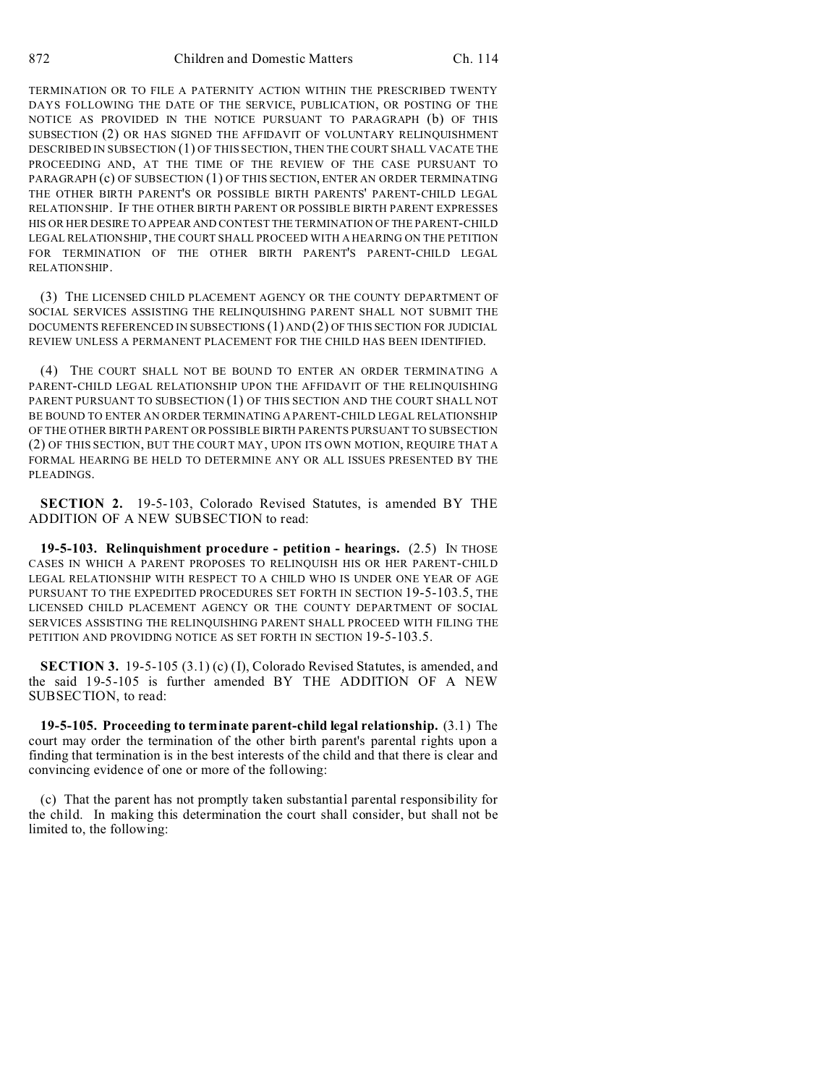TERMINATION OR TO FILE A PATERNITY ACTION WITHIN THE PRESCRIBED TWENTY DAYS FOLLOWING THE DATE OF THE SERVICE, PUBLICATION, OR POSTING OF THE NOTICE AS PROVIDED IN THE NOTICE PURSUANT TO PARAGRAPH (b) OF THIS SUBSECTION (2) OR HAS SIGNED THE AFFIDAVIT OF VOLUNTARY RELINQUISHMENT DESCRIBED IN SUBSECTION (1) OF THIS SECTION, THEN THE COURT SHALL VACATE THE PROCEEDING AND, AT THE TIME OF THE REVIEW OF THE CASE PURSUANT TO PARAGRAPH (c) OF SUBSECTION (1) OF THIS SECTION, ENTER AN ORDER TERMINATING THE OTHER BIRTH PARENT'S OR POSSIBLE BIRTH PARENTS' PARENT-CHILD LEGAL RELATIONSHIP. IF THE OTHER BIRTH PARENT OR POSSIBLE BIRTH PARENT EXPRESSES HIS OR HER DESIRE TO APPEAR AND CONTEST THE TERMINATION OF THE PARENT-CHILD LEGAL RELATIONSHIP, THE COURT SHALL PROCEED WITH A HEARING ON THE PETITION FOR TERMINATION OF THE OTHER BIRTH PARENT'S PARENT-CHILD LEGAL RELATIONSHIP.

(3) THE LICENSED CHILD PLACEMENT AGENCY OR THE COUNTY DEPARTMENT OF SOCIAL SERVICES ASSISTING THE RELINQUISHING PARENT SHALL NOT SUBMIT THE DOCUMENTS REFERENCED IN SUBSECTIONS (1) AND (2) OF THIS SECTION FOR JUDICIAL REVIEW UNLESS A PERMANENT PLACEMENT FOR THE CHILD HAS BEEN IDENTIFIED.

(4) THE COURT SHALL NOT BE BOUND TO ENTER AN ORDER TERMINATING A PARENT-CHILD LEGAL RELATIONSHIP UPON THE AFFIDAVIT OF THE RELINQUISHING PARENT PURSUANT TO SUBSECTION (1) OF THIS SECTION AND THE COURT SHALL NOT BE BOUND TO ENTER AN ORDER TERMINATING A PARENT-CHILD LEGAL RELATIONSHIP OF THE OTHER BIRTH PARENT OR POSSIBLE BIRTH PARENTS PURSUANT TO SUBSECTION (2) OF THIS SECTION, BUT THE COURT MAY, UPON ITS OWN MOTION, REQUIRE THAT A FORMAL HEARING BE HELD TO DETERMINE ANY OR ALL ISSUES PRESENTED BY THE PLEADINGS.

**SECTION 2.** 19-5-103, Colorado Revised Statutes, is amended BY THE ADDITION OF A NEW SUBSECTION to read:

**19-5-103. Relinquishment procedure - petition - hearings.** (2.5) IN THOSE CASES IN WHICH A PARENT PROPOSES TO RELINQUISH HIS OR HER PARENT-CHILD LEGAL RELATIONSHIP WITH RESPECT TO A CHILD WHO IS UNDER ONE YEAR OF AGE PURSUANT TO THE EXPEDITED PROCEDURES SET FORTH IN SECTION 19-5-103.5, THE LICENSED CHILD PLACEMENT AGENCY OR THE COUNTY DEPARTMENT OF SOCIAL SERVICES ASSISTING THE RELINQUISHING PARENT SHALL PROCEED WITH FILING THE PETITION AND PROVIDING NOTICE AS SET FORTH IN SECTION 19-5-103.5.

**SECTION 3.** 19-5-105 (3.1) (c) (I), Colorado Revised Statutes, is amended, and the said 19-5-105 is further amended BY THE ADDITION OF A NEW SUBSECTION, to read:

**19-5-105. Proceeding to terminate parent-child legal relationship.** (3.1) The court may order the termination of the other birth parent's parental rights upon a finding that termination is in the best interests of the child and that there is clear and convincing evidence of one or more of the following:

(c) That the parent has not promptly taken substantial parental responsibility for the child. In making this determination the court shall consider, but shall not be limited to, the following: